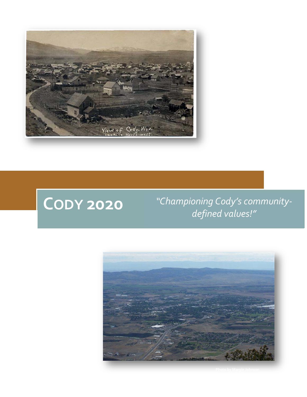

# **CODY 2020**

## *"Championing Cody's communitydefined values!"*

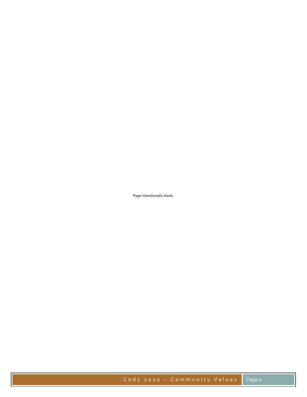Page intentionally blank.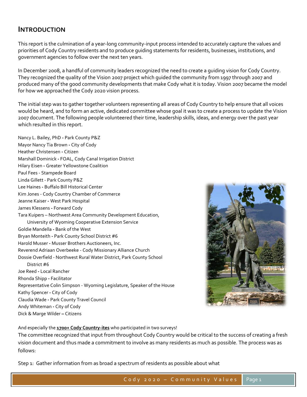### **INTRODUCTION**

This report is the culmination of a year-long community-input process intended to accurately capture the values and priorities of Cody Country residents and to produce guiding statements for residents, businesses, institutions, and government agencies to follow over the next ten years.

In December 2008, a handful of community leaders recognized the need to create a guiding vision for Cody Country. They recognized the quality of the Vision 2007 project which guided the community from 1997 through 2007 and produced many of the good community developments that make Cody what it is today. Vision 2007 became the model for how we approached the Cody 2020 vision process.

The initial step was to gather together volunteers representing all areas of Cody Country to help ensure that all voices would be heard, and to form an active, dedicated committee whose goal it was to create a process to update the Vision 2007 document. The following people volunteered their time, leadership skills, ideas, and energy over the past year which resulted in this report.

Nancy L. Bailey, PhD **-** Park County P&Z Mayor Nancy Tia Brown **-** City of Cody Heather Christensen **-** Citizen Marshall Dominick **-** FOAL, Cody Canal Irrigation District Hilary Eisen **-** Greater Yellowstone Coalition Paul Fees - Stampede Board Linda Gillett - Park County P&Z Lee Haines **-** Buffalo Bill Historical Center Kim Jones - Cody Country Chamber of Commerce Jeanne Kaiser **-** West Park Hospital James Klessens **-** Forward Cody Tara Kuipers – Northwest Area Community Development Education, University of Wyoming Cooperative Extension Service Goldie Mandella **-** Bank of the West Bryan Monteith **-** Park County School District #6 Harold Musser **-** Musser Brothers Auctioneers, Inc. Reverend Adriaan Overbeeke - Cody Missionary Alliance Church Dossie Overfield - Northwest Rural Water District, Park County School District #6 Joe Reed **-** Local Rancher Rhonda Shipp **-** Facilitator Representative Colin Simpson - Wyoming Legislature, Speaker of the House Kathy Spencer **-** City of Cody Claudia Wade **-** Park County Travel Council Andy Whiteman **-** City of Cody Dick & Marge Wilder **–** Citizens



And especially the **1700+ Cody Country-ites** who participated in two surveys!

The committee recognized that input from throughout Cody Country would be critical to the success of creating a fresh vision document and thus made a commitment to involve as many residents as much as possible. The process was as follows:

Step 1: Gather information from as broad a spectrum of residents as possible about what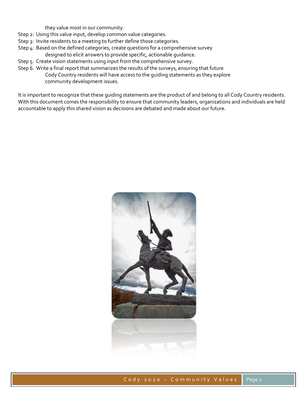they value most in our community.

- Step 2: Using this value input, develop common value categories.
- Step 3: Invite residents to a meeting to further define those categories.
- Step 4: Based on the defined categories, create questions for a comprehensive survey designed to elicit answers to provide specific, actionable guidance.
- Step 5. Create vision statements using input from the comprehensive survey.
- Step 6. Write a final report that summarizes the results of the surveys, ensuring that future Cody Country residents will have access to the guiding statements as they explore community development issues.

It is important to recognize that these guiding statements are the product of and belong to all Cody Country residents. With this document comes the responsibility to ensure that community leaders, organizations and individuals are held accountable to apply this shared vision as decisions are debated and made about our future.

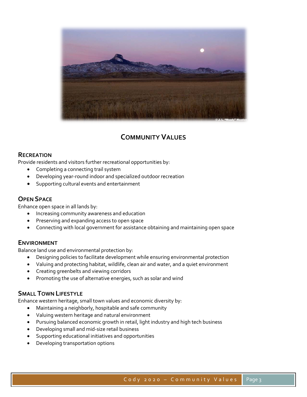

## **COMMUNITY VALUES**

#### **RECREATION**

Provide residents and visitors further recreational opportunities by:

- Completing a connecting trail system
- Developing year-round indoor and specialized outdoor recreation
- Supporting cultural events and entertainment

#### **OPEN SPACE**

Enhance open space in all lands by:

- Increasing community awareness and education
- Preserving and expanding access to open space
- Connecting with local government for assistance obtaining and maintaining open space

#### **ENVIRONMENT**

Balance land use and environmental protection by:

- Designing policies to facilitate development while ensuring environmental protection
- Valuing and protecting habitat, wildlife, clean air and water, and a quiet environment
- Creating greenbelts and viewing corridors
- Promoting the use of alternative energies, such as solar and wind

#### **SMALL TOWN LIFESTYLE**

Enhance western heritage, small town values and economic diversity by:

- Maintaining a neighborly, hospitable and safe community
- Valuing western heritage and natural environment
- Pursuing balanced economic growth in retail, light industry and high tech business
- Developing small and mid-size retail business
- Supporting educational initiatives and opportunities
- Developing transportation options